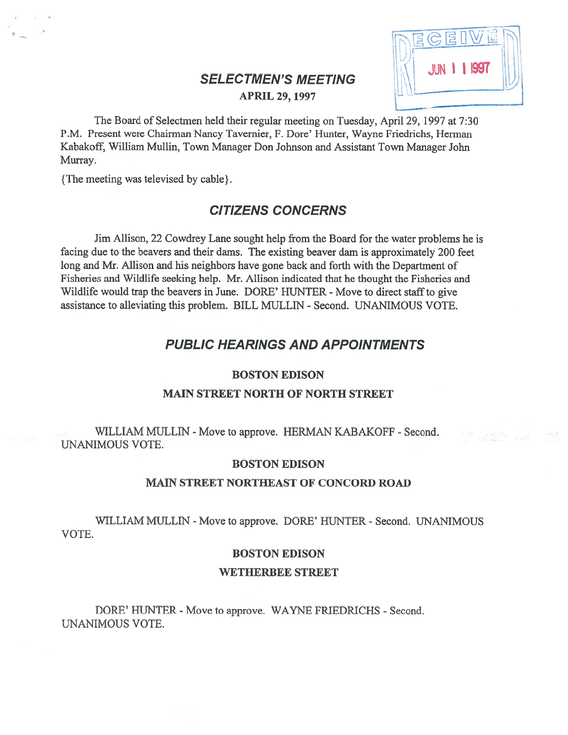# $\begin{array}{c|c|c|c} \text{SELECTMENTS MEETING} & & & \text{MIN} & \text{I} & \text{I997} \ \hline \text{APRIL 29, 1997} & & & \end{array}$



The Board of Selectmen held their regular meeting on Tuesday, April 29, 1997 at 7:30 P.M. Present were Chairman Nancy Tavemier, F. Dore' Hunter, Wayne friedrichs, Herman Kabakoff, William Mullin, Town Manager Don Johnson and Assistant Town Manager John Murray.

{The meeting was televised by cable).

# CITIZENS CONCERNS

Jim Allison, 22 Cowdrey Lane sought help from the Board for the water problems he is facing due to the beavers and their dams. The existing beaver dam is approximately 200 feet long and Mr. Allison and his neighbors have gone back and forth with the Department of Fisheries and Wildlife seeking help. Mr. Allison indicated that he thought the Fisheries and Wildlife would trap the beavers in June. DORE' HUNTER - Move to direct staff to give assistance to alleviating this problem. BILL MULLIN - Second. UNANIMOUS VOTE.

# PUBLIC HEARINGS AND APPOINTMENTS

# BOSTON EDISON

## MAIN STREET NORTH OF NORTH STREET

WILLIAM MULLIN - Move to approve. HERMAN KABAKOFF - Second. UNANIMOUS VOTE.

# BOSTON EDISON

#### MAIN STREET NORTHEAST OF CONCORD ROAD

WILLIAM MULLIN - Move to approve. DORE' HUNTER - Second. UNANIMOUS VOTE.

# BOSTON EDISON

# WETHERBEE STREET

DORE' HUNTER - Move to approve. WAYNE FRIEDRICHS - Second. UNANIMOUS VOTE.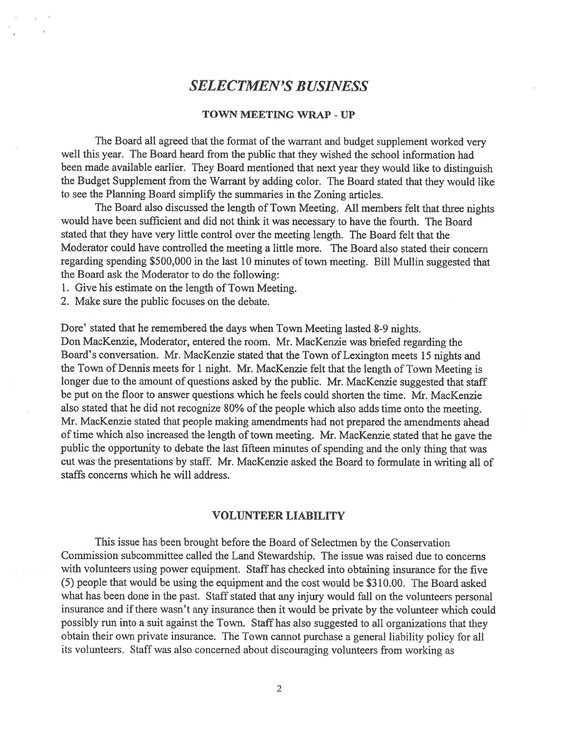# SELECTMEN'S BUSINESS

## TOWN MEETING WRAP -UP

The Board all agree<sup>d</sup> that the format of the warrant and budget supplement worked very well this year. The Board heard from the public that they wished the school information had been made available earlier. They Board mentioned that next year they would like to distinguish the Budget Supplement from the Warrant by adding color. The Board stated that they would like to see the Planning Board simplify the summaries in the Zoning articles.

The Board also discussed the length of Town Meeting. All members felt that three nights would have been sufficient and did not think it was necessary to have the fourth. The Board stated that they have very little control over the meeting length. The Board felt that the Moderator could have controlled the meeting <sup>a</sup> little more. The Board also stated their concern regarding spending \$500,000 in the last <sup>10</sup> minutes of town meeting. Bill Mullin suggested that the Board ask the Moderator to do the following:

1. Give his estimate on the length of Town Meeting.

2. Make sure the public focuses on the debate.

Dore' stated that he remembered the days when Town Meeting lasted 8-9 nights. Don MacKenzie, Moderator, entered the room. Mr. MacKenzie was briefed regarding the Board's conversation. Mr. MacKenzie stated that the Town of Lexington meets <sup>15</sup> nights and the Town of Dennis meets for <sup>1</sup> night. Mr. MacKenzie felt that the length of Town Meeting is longer due to the amount of questions asked by the public. Mr. MacKenzie suggested that staff be pu<sup>t</sup> on the floor to answer questions which he feels could shorten the time. Mr. MacKenzie also stated that he did not recognize 80% of the people which also adds time onto the meeting. Mr. MacKenzie stated that people making amendments had not prepared the amendments ahead of time which also increased the length of town meeting. Mr. MacKenzie stated that he gave the public the opportunity to debate the last fifteen minutes of spending and the only thing that was cut was the presentations by staff. Mr. MacKenzie asked the Board to formulate in writing all of staffs concerns which he will address.

# VOLUNTEER LIABILITY

This issue has been brought before the Board of Selectmen by the Conservation Commission subcommittee called the Land Stewardship. The issue was raised due to concerns with volunteers using power equipment. Staff has checked into obtaining insurance for the five (5) people that would be using the equipment and the cost would be \$310.00. The Board asked what has been done in the past. Staff stated that any injury would fall on the volunteers persona<sup>l</sup> insurance and if there wasn't any insurance then it would be private by the volunteer which could possibly run into <sup>a</sup> suit against the Town. Staff has also suggested to all organizations that they obtain their own private insurance. The Town cannot purchase <sup>a</sup> genera<sup>l</sup> liability policy for all its volunteers. Staff was also concerned about discouraging volunteers from working as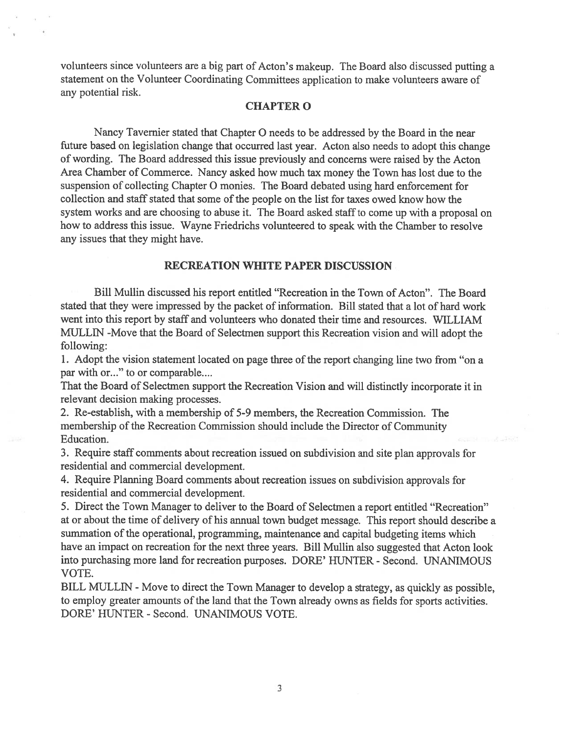volunteers since volunteers are <sup>a</sup> big par<sup>t</sup> of Acton's makeup. The Board also discussed putting <sup>a</sup> statement on the Volunteer Coordinating Committees application to make volunteers aware of any potential risk.

#### CHAPTER 0

Nancy Tavernier stated that Chapter 0 needs to be addressed by the Board in the near future based on legislation change that occurred last year. Acton also needs to adopt this change of wording. The Board addressed this issue previously and concerns were raised by the Acton Area Chamber of Commerce. Nancy asked how much tax money the Town has lost due to the suspension of collecting Chapter 0 monies. The Board debated using hard enforcement for collection and staff stated that some of the people on the list for taxes owed know how the system works and are choosing to abuse it. The Board asked staff to come up with a proposal on how to address this issue. Wayne Friedrichs volunteered to speak with the Chamber to resolve any issues that they might have.

## RECREATION WHITE PAPER DISCUSSION

Bill Mullin discussed his repor<sup>t</sup> entitled "Recreation in the Town of Acton". The Board stated that they were impressed by the packet of information. Bill stated that <sup>a</sup> lot of hard work went into this repor<sup>t</sup> by staff and volunteers who donated their time and resources. WILLIAM MULLIN -Move that the Board of Selectmen suppor<sup>t</sup> this Recreation vision and will adopt the following:

1. Adopt the vision statement located on page three of the report changing line two from "on a par with or..." to or comparable....

That the Board of Selectmen suppor<sup>t</sup> the Recreation Vision and will distinctly incorporate it in relevant decision making processes.

2. Re-establish, with <sup>a</sup> membership of 5-9 members, the Recreation Commission. The membership of the Recreation Commission should include the Director of Community Education.

3. Require staff comments about recreation issued on subdivision and site <sup>p</sup>lan approvals for residential and commercial development.

4. Require Planning Board comments about recreation issues on subdivision approvals for residential and commercial development.

5. Direct the Town Manager to deliver to the Board of Selectmen <sup>a</sup> repor<sup>t</sup> entitled "Recreation" at or about the time of delivery of his annual town budget message. This repor<sup>t</sup> should describe <sup>a</sup> summation of the operational, programming, maintenance and capital budgeting items which have an impact on recreation for the next three years. Bill Mullin also suggested that Acton look into purchasing more land for recreation purposes. DORE' HUNTER - Second. UNANIMOUS VOTE.

BILL MULLIN - Move to direct the Town Manager to develop a strategy, as quickly as possible, to employ greater amounts of the land that the Town already owns as fields for sports activities. DORE' HUNTER -Second. UNANIMOUS VOTE.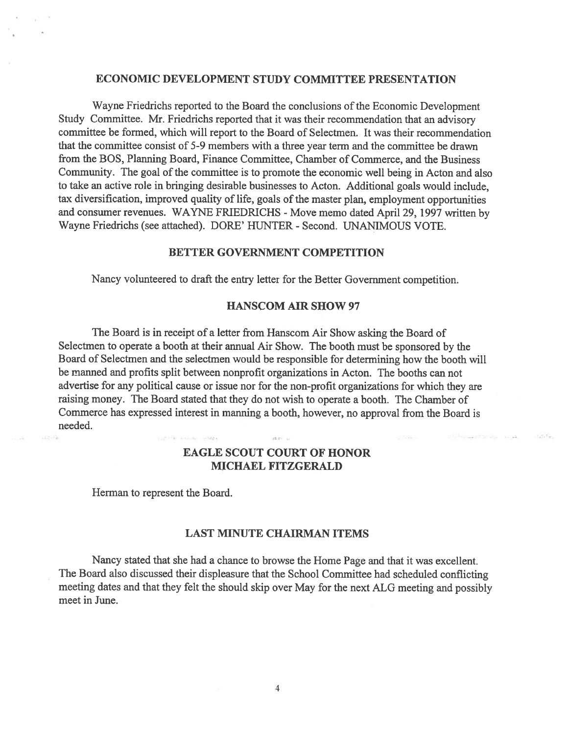## ECONOMIC DEVELOPMENT STUDY COMMITTEE PRESENTATION

Wayne Friedrichs reported to the Board the conclusions of the Economic Development Study Committee. Mr. Friedrichs reported that it was their recommendation that an advisory committee be formed, which will repor<sup>t</sup> to the Board of Selectmen. It was their recommendation that the committee consist of 5-9 members with <sup>a</sup> three year term and the committee be drawn from the BOS, Planning Board, finance Committee, Chamber of Commerce, and the Business Community. The goal of the committee is to promote the economic well being in Acton and also to take an active role in bringing desirable businesses to Acton. Additional goals would include, tax diversification, improved quality of life, goals of the master plan, employment opportunities and consumer revenues. WAYNE FRIEDRICHS - Move memo dated April 29, 1997 written by Wayne Friedrichs (see attached). DORE' HUNTER - Second. UNANIMOUS VOTE.

#### BETTER GOVERNMENT COMPETITION

Nancy volunteered to draft the entry letter for the Better Government competition.

# HANSCOM AIR SHOW 97

The Board is in receipt of <sup>a</sup> letter from Hanscom Air Show asking the Board of Selectmen to operate <sup>a</sup> booth at their annual Air Show. The booth must be sponsore<sup>d</sup> by the Board of Selectmen and the selectmen would be responsible for determining how the booth will be manned and profits split between nonprofit organizations in Acton. The booths can not advertise for any political cause or issue nor for the non-profit organizations for which they are raising money. The Board stated that they do not wish to operate <sup>a</sup> booth. The Chamber of Commerce has expressed interest in manning <sup>a</sup> booth, however, no approval from the Board is needed.

> EAGLE SCOUT COURT OF HONOR MICHAEL FITZGERALD

 $15.77...$ 

 $1.1 - 1.1$ 

 $127.1 +$ 

Herman to represen<sup>t</sup> the Board.

curtility analysis interest

지기주

#### LAST MINUTE CHAIRMAN ITEMS

Nancy stated that she had <sup>a</sup> chance to browse the Home Page and that it was excellent. The Board also discussed their displeasure that the School Committee had scheduled conflicting meeting dates and that they felt the should skip over May for the next ALG meeting and possibly meet in June.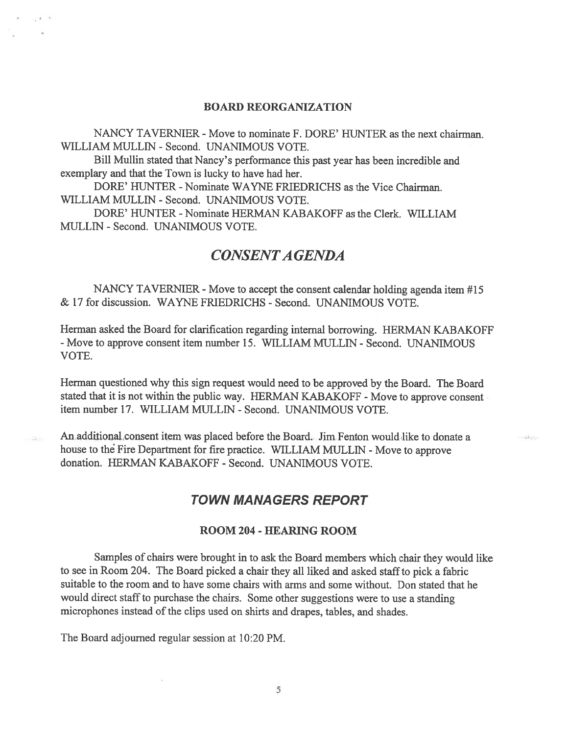### BOARD REORGANIZATION

NANCY TAVERNIER - Move to nominate F. DORE' HUNTER as the next chairman. WILLIAM MULLEN - Second. UNANIMOUS VOTE.

Bill Mullin stated that Nancy's performance this pas<sup>t</sup> year has been incredible and exemplary and that the Town is lucky to have had her.

DORE' HUNTER - Nominate WAYNE FRIEDRICHS as the Vice Chairman. WILLIAM MULLEN - Second. UNANIMOUS VOTE.

DORE' HUNTER - Nominate HERMAN KABAKOFF as the Clerk. WILLIAM MULLEN - Second. UNANIMOUS VOTE.

# CONSENTA GENDA

NANCY TAVERNIER - Move to accept the consent calendar holding agenda item #15 & 17 for discussion. WAYNE FRIEDRICH\$ - Second. UNANIMOUS VOTE.

Herman asked the Board for clarification regarding internal borrowing. HERMAN KABAKOFF - Move to approve consent item number 15. WILLIAM MULLIN - Second. UNANIMOUS VOTE.

Herman questioned why this sign reques<sup>t</sup> would need to be approved by the Board. The Board stated that it is not within the public way. HERMAN KABAKOFF - Move to approve consent item number 17. WILLIAM MULLEN - Second. UNANIMOUS VOTE.

An additional consent item was placed before the Board. Jim Fenton would like to donate <sup>a</sup> house to the Fire Department for fire practice. WILLIAM MULLIN - Move to approve donation. HERMAN KABAKOFF - Second. UNANIMOUS VOTE.

# TOWN MANAGERS REPORT

and in

# ROOM 204 - HEARING ROOM

Samples of chairs were brought in to ask the Board members which chair they would like to see in Room 204. The Board picked a chair they all liked and asked staff to pick a fabric suitable to the room and to have some chairs with arms and some without. Don stated that he would direct staff to purchase the chairs. Some other suggestions were to use a standing microphones instead of the clips used on shirts and drapes, tables, and shades.

The Board adjourned regular session at 10:20 PM.